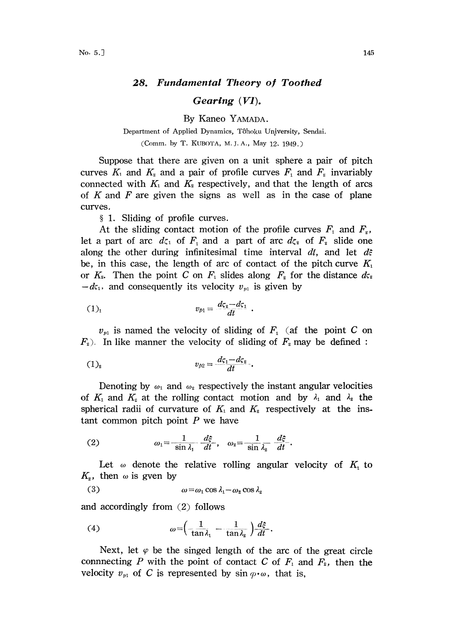## 28. Fundamental Theory of Toothed

## $\boldsymbol{G}$ *earing*  $(VI)$ .

By Kaneo YAMADA.

## Department of Applied Dynamics, Tôhoku University, Sendai. (Comm. by T. KUBOTA, M. J. A., May 12, 1949.)

Suppose that there are given on a unit sphere a pair of pitch curves  $K_1$  and  $K_2$  and a pair of profile curves  $F_1$  and  $F_2$  invariably connected with  $K_1$  and  $K_2$  respectively, and that the length of arcs of K and F are given the signs as well as in the case of plane curves.

1. Sliding of profile curves.

At the sliding contact motion of the profile curves  $F_1$  and  $F_2$ , let a part of arc  $d\zeta_1$  of  $F_1$  and a part of arc  $d\zeta_2$  of  $F_2$  slide one along the other during infinitesimal time interval dt, and let  $d\hat{z}$ be, in this case, the length of arc of contact of the pitch curve  $K_1$ or  $K_{2}$ . Then the point C on  $F_{1}$  slides along  $F_{2}$  for the distance  $d\varsigma_{2}$  $-d\zeta_1$ , and consequently its velocity  $v_{\nu_1}$  is given by

(1)<sub>1</sub> 
$$
v_{p1} = \frac{d\zeta_2 - d\zeta_1}{dt}
$$

 $v_{p1}$  is named the velocity of sliding of  $F_1$  (af the point C on  $F<sub>2</sub>$ ). In like manner the velocity of sliding of  $F<sub>2</sub>$  may be defined:

(1)<sub>2</sub> 
$$
v_{p2} = \frac{d\zeta_1 - d\zeta_2}{dt}.
$$

Denoting by  $\omega_1$  and  $\omega_2$  respectively the instant angular velocities of  $K_1$  and  $K_2$  at the rolling contact motion and by  $\lambda_1$  and  $\lambda_2$  the spherical radii of curvature of  $K_1$  and  $K_2$  respectively at the instant common pitch point  $P$  we have

(2) 
$$
\omega_1 = \frac{1}{\sin \lambda_1} \frac{d\xi}{dt}, \quad \omega_2 = \frac{1}{\sin \lambda_2} \frac{d\xi}{dt}
$$

Let  $\omega$  denote the relative rolling angular velocity of  $K<sub>1</sub>$  to  $K_{2}$ , then  $\omega$  is gven by

(3) 
$$
\omega = \omega_1 \cos \lambda_1 - \omega_2 \cos \lambda_2
$$

and accordingly from (2) follows

(4) 
$$
\omega = \left(\frac{1}{\tan \lambda_1} - \frac{1}{\tan \lambda_2}\right) \frac{d\xi}{dt}.
$$

Next, let  $\varphi$  be the singed length of the arc of the great circle connnecting P with the point of contact C of  $F_1$  and  $F_2$ , then the velocity  $v_{p1}$  of C is represented by  $\sin \varphi \cdot \omega$ , that is,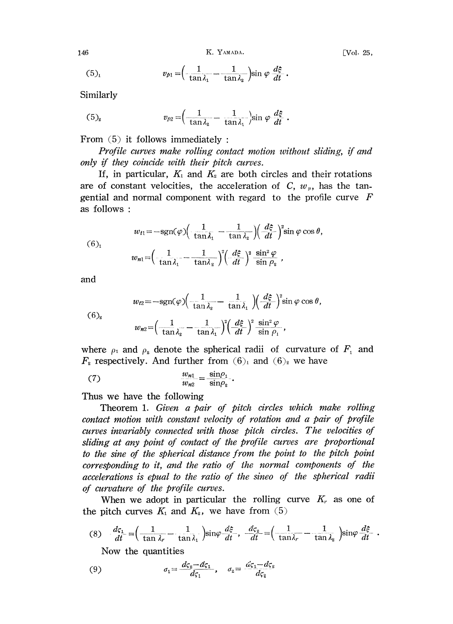146 K. YAMADA. [Vo|. 25,

$$
(5)_i
$$

$$
v_{p1} = \left(-\frac{1}{\tan\lambda_1} - \frac{1}{\tan\lambda_2}\right) \sin\varphi \frac{d\xi}{dt}.
$$

Similarly

(5)<sub>2</sub> 
$$
v_{p2} = \left(\frac{1}{\tan \lambda_2} - \frac{1}{\tan \lambda_1}\right) \sin \varphi \frac{d\xi}{dt}.
$$

From  $(5)$  it follows immediately:

Profile curves make rolling contact motion without sliding, if and only if they coincide with their pitch curves.

If, in particular,  $K_1$  and  $K_2$  are both circles and their rotations are of constant velocities, the acceleration of C,  $w<sub>p</sub>$ , has the tangential and normal component with regard to the profile curve  $F$ as follows:

(6)<sub>1</sub>  

$$
w_{t1} = -\text{sgn}(\varphi) \left( \frac{1}{\tan \lambda_1} - \frac{1}{\tan \lambda_2} \right) \left( \frac{d\xi}{dt} \right)^2 \sin \varphi \cos \theta,
$$

$$
w_{n1} = \left( \frac{1}{\tan \lambda_1} - \frac{1}{\tan \lambda_2} \right)^2 \left( \frac{d\xi}{dt} \right)^2 \frac{\sin^2 \varphi}{\sin \rho_2},
$$

and

(6)<sub>2</sub> 
$$
w_{t2} = -\text{sgn}(\varphi) \left( \frac{1}{\tan \lambda_2} - \frac{1}{\tan \lambda_1} \right) \left( \frac{d\xi}{dt} \right)^2 \sin \varphi \cos \theta,
$$

$$
w_{t2} = \left( \frac{1}{\tan \lambda_2} - \frac{1}{\tan \lambda_1} \right)^2 \left( \frac{d\xi}{dt} \right)^2 \frac{\sin^2 \varphi}{\sin \rho_1},
$$

where  $\rho_1$  and  $\rho_2$  denote the spherical radii of curvature of  $F_1$  and  $F_2$  respectively. And further from  $(6)_1$  and  $(6)_2$  we have

$$
(7) \qquad \qquad \frac{w_{n1}}{w_{n2}} = \frac{\sin \rho_1}{\sin \rho_2}.
$$

Thus we have the following

Theorem 1. Given a pair of pitch circles which make rolling contact motion with constant velocity of rotation and a pair of profile curves invariably connected with those pitch circles. The velocities of sliding at any point of contact of the profile curves are proportional to the sine of the spherical distance from the point to the pitch point corresponding to it, and the ratio of the normal components of the accelerations is epual to the ratio of the sineo of the spherical radii of curvature of the profile curves.

When we adopt in particular the rolling curve  $K<sub>r</sub>$  as one of the pitch curves  $K_1$  and  $K_2$ , we have from (5)

(8) 
$$
\frac{d\zeta_1}{dt} = \left(\frac{1}{\tan \lambda_r} - \frac{1}{\tan \lambda_1}\right) \sin \varphi \frac{d\zeta}{dt}, \quad \frac{d\zeta_2}{dt} = \left(\frac{1}{\tan \lambda_r} - \frac{1}{\tan \lambda_2}\right) \sin \varphi \frac{d\zeta}{dt}
$$

Now the quantities

(9) 
$$
\sigma_1 = \frac{d\varsigma_z - d\varsigma_1}{d\varsigma_1}, \quad \sigma_z = \frac{d\varsigma_1 - d\varsigma_z}{d\varsigma_z}
$$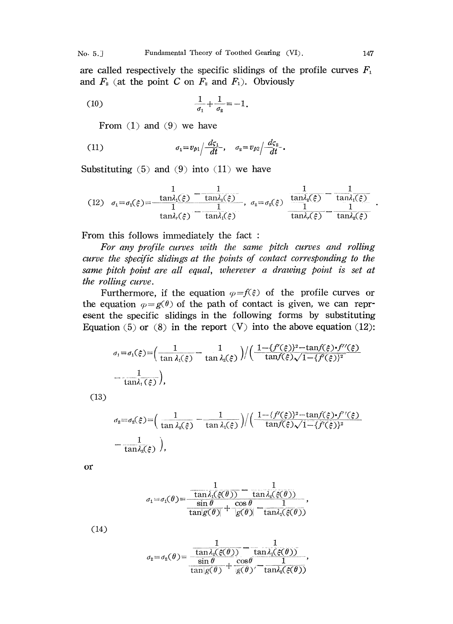are called respectively the specific slidings of the profile curves  $F_1$ and  $F_2$  (at the point C on  $F_2$  and  $F_1$ ). Obviously

(10) 
$$
\frac{1}{\sigma_1} + \frac{1}{\sigma_2} = -1.
$$

From  $(1)$  and  $(9)$  we have

(11) 
$$
\sigma_1 = v_{p_1} / \frac{d\zeta_1}{dt}, \quad \sigma_2 = v_{p_2} / \frac{d\zeta_2}{dt}.
$$

Substituting  $(5)$  and  $(9)$  into  $(11)$  we have

$$
(12) \quad \sigma_1 = \sigma_1(\xi) = \frac{\tan \lambda_1(\xi)}{1} - \frac{\tan \lambda_2(\xi)}{\tan \lambda_1(\xi)}, \quad \sigma_2 = \sigma_2(\xi) = \frac{\tan \lambda_2(\xi)}{1} - \frac{1}{\tan \lambda_1(\xi)}
$$

$$
\frac{1}{\tan \lambda_1(\xi)} = \frac{1}{\tan \lambda_1(\xi)} - \frac{1}{\tan \lambda_2(\xi)}
$$

From this follows immediately the fact

For any profile curves with the same pitch curves and rolling curve the specific slidings at the points of contact corresponding to the same pitch point are all equal, wherever a drawing point is set at the rolling curve.

Furthermore, if the equation  $\varphi = f(\xi)$  of the profile curves or the equation  $\varphi = g(\theta)$  of the path of contact is given, we can represent the specific slidings in the following forms by substituting Equation (5) or (8) in the report  $(V)$  into the above equation (12):

$$
\sigma_1 = \sigma_1(\xi) = \left(\frac{1}{\tan \lambda_1(\xi)} - \frac{1}{\tan \lambda_2(\xi)}\right) / \left(\frac{1 - \{f'(\xi)\}^2 - \tan f(\xi) \cdot f''(\xi)}{\tan f(\xi) \sqrt{1 - \{f'(\xi)\}^2}}\right)
$$

$$
= \frac{1}{\tan \lambda_1(\xi)},
$$

(13)

$$
\sigma_2 = \sigma_2(\xi) = \left(\frac{1}{\tan \lambda_2(\xi)} - \frac{1}{\tan \lambda_1(\xi)}\right) / \left(\frac{1 - \{f'(\xi)\}^2 - \tan f(\xi) \cdot f''(\xi)}{\tan f(\xi) \sqrt{1 - \{f'(\xi)\}^2}}\right)
$$
  
= 
$$
\frac{1}{\tan \lambda_2(\xi)}
$$
),

or

$$
\sigma_1 = \sigma_1(\theta) = \frac{\frac{1}{\tan \lambda_1(\xi(\theta))} - \frac{1}{\tan \lambda_2(\xi(\theta))}}{\frac{\sin \theta}{\tan |g(\theta)|} + \frac{\cos \theta}{|g(\theta)|} - \frac{1}{\tan \lambda_1(\xi(\theta))}},
$$

(14)

$$
\sigma_{\mathbf{z}} = \sigma_{\mathbf{z}}(\theta) = \frac{\frac{1}{\tan \lambda_{\mathbf{z}}(\xi(\theta))} - \frac{1}{\tan \lambda_{\mathbf{z}}(\xi(\theta))}}{\frac{\sin \theta}{\tan \vert g(\theta)} + \frac{\cos \theta}{\vert g(\theta) \vert} - \frac{1}{\tan \lambda_{\mathbf{z}}(\xi(\theta))}},
$$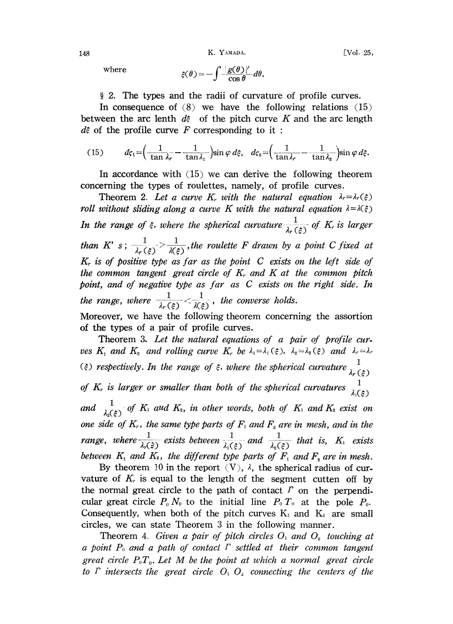148 **K. YAMADA.** [Vol. 25,

where 
$$
\xi(\theta) = -\int \frac{|g(\theta)|^{\prime}}{\cos \theta} d\theta.
$$

2. The types and the radii of curvature of profile curves.

In consequence of  $(8)$  we have the following relations  $(15)$ between the arc lenth  $d\zeta$  of the pitch curve K and the arc length  $d\hat{\epsilon}$  of the profile curve F corresponding to it:

(15) 
$$
d\zeta_1 = \left(\frac{1}{\tan \lambda_r} - \frac{1}{\tan \lambda_1}\right) \sin \varphi \, d\xi, \quad d\zeta_2 = \left(\frac{1}{\tan \lambda_r} - \frac{1}{\tan \lambda_2}\right) \sin \varphi \, d\xi.
$$

In accordance with (15) we can derive the following theorem concerning the types of roulettes, namely, of profile curves.

Theorem 2. Let a curve K, with the natural equation  $\lambda_r = \lambda_r(\xi)$ roll without sliding along a curve K with the natural equation  $\lambda = \lambda(\xi)$ In the range of  $\xi$ , where the spherical curvature  $\frac{1}{\lambda_r(\xi)}$  of  $K_r$  is larger than K' s;  $\frac{1}{\lambda_r(\xi)} > \frac{1}{\lambda(\xi)}$ , the roulette F drawn by a point C fixed at  $K_r$  is of positive type as far as the point C exists on the left side of the common tangent great circle of  $K_r$  and  $K$  at the common pitch point, and of negative type as far as C exists on the right side. In the range, where  $\frac{1}{\lambda_r(\xi)} < \frac{1}{\lambda(\xi)}$ , the converse holds. Moreover, we have the following theorem concerning the assortion

of the types of a pair of profile curves. Theorem 3. Let the natural equations of a pair of profile curves  $K_1$  and  $K_2$  and rolling curve  $K_r$  be  $\lambda_1 = \lambda_1(\xi)$ ,  $\lambda_2 = \lambda_2(\xi)$  and  $\lambda_r = \lambda_r$ ( $\xi$ ) respectively. In the range of  $\xi$ , where the spherical curvature  $\frac{1}{\xi}$ 

of  $K_r$  is larger or smaller than both of the spherical curvatures 1  $\lambda_1(\xi)$ 

and  $\frac{1}{\lambda_{s}(z)}$  of  $K_{1}$  aud  $K_{2}$ , in other words, both of  $K_{1}$  and  $K_{2}$  exist on one side of  $K_r$ , the same type parts of  $F_1$  and  $F_2$  are in mesh, and in the range, where  $\frac{1}{\lambda_r(\frac{5}{5})}$  exists between  $\frac{1}{\lambda_1(\frac{5}{5})}$  and  $\frac{1}{\lambda_2(\frac{5}{5})}$  that is,  $K_1$  exists between  $K_1$  and  $K_2$ , the different type parts of  $F_1$  and  $F_2$  are in mesh.

By theorem 10 in the report  $(V)$ ,  $\lambda$ , the spherical radius of curvature of  $K<sub>r</sub>$  is equal to the length of the segment cutten off by the normal great circle to the path of contact  $\Gamma$  on the perpendicular great circle  $P_0 N_0$  to the initial line  $P_0 T_0$  at the pole  $P_0$ . Consequently, when both of the pitch curves  $K_1$  and  $K_2$  are small circles, we can state Theorem 3 in the following manner.

Theorem 4. Given a pair of pitch circles  $O_1$  and  $O_2$  touching at a point  $P_0$  and a path of contact  $\Gamma$  settled at their common tangent great circle  $P_0T_0$ . Let M be the point at which a normal great circle to  $\Gamma$  intersects the great circle  $O_1$   $O_2$  connecting the centers of the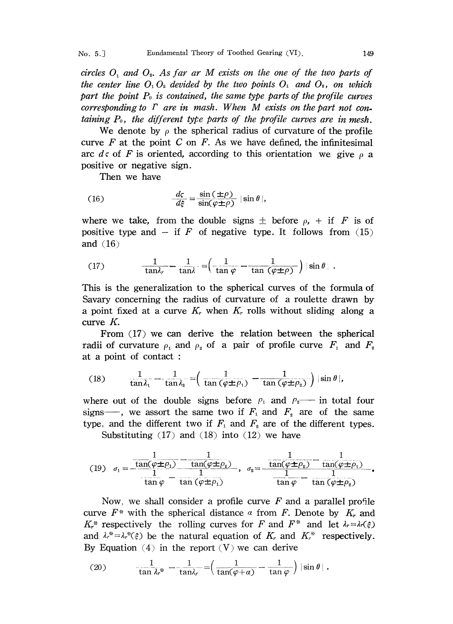circles  $O_1$  and  $O_2$ . As far ar M exists on the one of the two parts of the center line  $O_1 O_2$  devided by the two points  $O_1$  and  $O_2$ , on which part the point  $P_0$  is contained, the same type parts of the profile curves corresponding to  $\Gamma$  are in mash. When M exists on the part not containing  $P_0$ , the different type parts of the profile curves are in mesh.

We denote by  $\rho$  the spherical radius of curvature of the profile curve  $F$  at the point  $C$  on  $F$ . As we have defined, the infinitesimal arc ds of F is oriented, according to this orientation we give  $\rho$  a positive or negative sign.

Then we have

(16) 
$$
\frac{d\varsigma}{d\xi} = \frac{\sin(\pm \rho)}{\sin(\varphi \pm \rho)} |\sin \theta|,
$$

where we take, from the double signs  $\pm$  before  $\rho$ , + if F is of positive type and  $-$  if F of negative type. It follows from (15) and  $(16)$ 

(17) 
$$
\frac{1}{\tan \lambda_r} - \frac{1}{\tan \lambda} = \left( \frac{1}{\tan \varphi} - \frac{1}{\tan (\varphi \pm \rho)} \right) |\sin \theta|.
$$

This is the generalization to the spherical curves of the formula of Savary concerning the radius of curvature of a roulette drawn by a point fixed at a curve  $K_r$  when  $K_r$  rolls without sliding along a curve K.

From (17) we can derive the relation between the spherical radii of curvature  $\rho_1$  and  $\rho_2$  of a pair of profile curve  $F_1$  and  $F_2$ . at a point of contact:

(18) 
$$
\frac{1}{\tan \lambda_1} - \frac{1}{\tan \lambda_2} = \left( \frac{1}{\tan (\varphi \pm \rho_1)} - \frac{1}{\tan (\varphi \pm \rho_2)} \right) |\sin \theta|,
$$

where out of the double signs before  $\rho_1$  and  $\rho_2$  in total four signs-, we assort the same two if  $F_1$  and  $F_2$  are of the same type, and the different two if  $F_1$  and  $F_2$  are of the different types.

Substituting  $(17)$  and  $(18)$  into  $(12)$  we have

(19) 
$$
\sigma_1 = \frac{\frac{1}{\tan(\varphi \pm \rho_1)} - \frac{1}{\tan(\varphi \pm \rho_2)}}{\frac{1}{\tan \varphi} - \frac{1}{\tan(\varphi \pm \rho_1)}}, \quad \sigma_2 = \frac{\frac{1}{\tan(\varphi \pm \rho_2)} - \frac{1}{\tan(\varphi \pm \rho_1)}}{\frac{1}{\tan \varphi} - \frac{1}{\tan(\varphi \pm \rho_2)}}.
$$

Now, we shall consider a profile curve  $F$  and a parallel profile curve  $F^*$  with the spherical distance  $\alpha$  from F. Denote by  $K_r$  and  $K_r^*$  respectively the rolling curves for F and  $F^*$  and let  $\lambda_r = \lambda_r(\xi)$ and  $\lambda_r^* = \lambda_r^*(\xi)$  be the natural equation of  $K_r$  and  $K_r^*$  respectively. By Equation  $(4)$  in the report  $(V)$  we can derive

(20) 
$$
\frac{1}{\tan \lambda_r^*} - \frac{1}{\tan \lambda_r} = \left(\frac{1}{\tan(\varphi + \alpha)} - \frac{1}{\tan \varphi}\right) |\sin \theta|.
$$